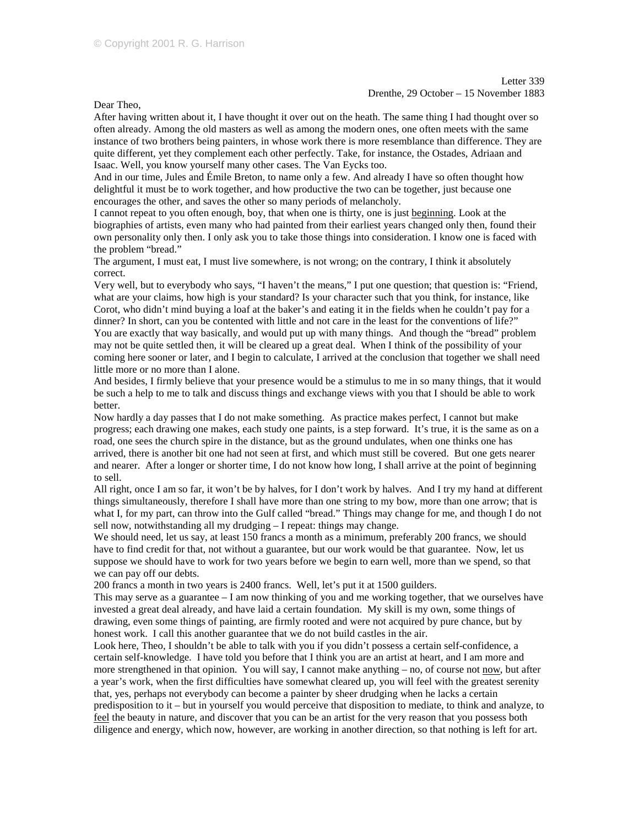Dear Theo,

After having written about it, I have thought it over out on the heath. The same thing I had thought over so often already. Among the old masters as well as among the modern ones, one often meets with the same instance of two brothers being painters, in whose work there is more resemblance than difference. They are quite different, yet they complement each other perfectly. Take, for instance, the Ostades, Adriaan and Isaac. Well, you know yourself many other cases. The Van Eycks too.

And in our time, Jules and Émile Breton, to name only a few. And already I have so often thought how delightful it must be to work together, and how productive the two can be together, just because one encourages the other, and saves the other so many periods of melancholy.

I cannot repeat to you often enough, boy, that when one is thirty, one is just beginning. Look at the biographies of artists, even many who had painted from their earliest years changed only then, found their own personality only then. I only ask you to take those things into consideration. I know one is faced with the problem "bread."

The argument, I must eat, I must live somewhere, is not wrong; on the contrary, I think it absolutely correct.

Very well, but to everybody who says, "I haven't the means," I put one question; that question is: "Friend, what are your claims, how high is your standard? Is your character such that you think, for instance, like Corot, who didn't mind buying a loaf at the baker's and eating it in the fields when he couldn't pay for a dinner? In short, can you be contented with little and not care in the least for the conventions of life?" You are exactly that way basically, and would put up with many things. And though the "bread" problem may not be quite settled then, it will be cleared up a great deal. When I think of the possibility of your coming here sooner or later, and I begin to calculate, I arrived at the conclusion that together we shall need little more or no more than I alone.

And besides, I firmly believe that your presence would be a stimulus to me in so many things, that it would be such a help to me to talk and discuss things and exchange views with you that I should be able to work better.

Now hardly a day passes that I do not make something. As practice makes perfect, I cannot but make progress; each drawing one makes, each study one paints, is a step forward. It's true, it is the same as on a road, one sees the church spire in the distance, but as the ground undulates, when one thinks one has arrived, there is another bit one had not seen at first, and which must still be covered. But one gets nearer and nearer. After a longer or shorter time, I do not know how long, I shall arrive at the point of beginning to sell.

All right, once I am so far, it won't be by halves, for I don't work by halves. And I try my hand at different things simultaneously, therefore I shall have more than one string to my bow, more than one arrow; that is what I, for my part, can throw into the Gulf called "bread." Things may change for me, and though I do not sell now, notwithstanding all my drudging – I repeat: things may change.

We should need, let us say, at least 150 francs a month as a minimum, preferably 200 francs, we should have to find credit for that, not without a guarantee, but our work would be that guarantee. Now, let us suppose we should have to work for two years before we begin to earn well, more than we spend, so that we can pay off our debts.

200 francs a month in two years is 2400 francs. Well, let's put it at 1500 guilders.

This may serve as a guarantee – I am now thinking of you and me working together, that we ourselves have invested a great deal already, and have laid a certain foundation. My skill is my own, some things of drawing, even some things of painting, are firmly rooted and were not acquired by pure chance, but by honest work. I call this another guarantee that we do not build castles in the air.

Look here, Theo, I shouldn't be able to talk with you if you didn't possess a certain self-confidence, a certain self-knowledge. I have told you before that I think you are an artist at heart, and I am more and more strengthened in that opinion. You will say, I cannot make anything – no, of course not now, but after a year's work, when the first difficulties have somewhat cleared up, you will feel with the greatest serenity that, yes, perhaps not everybody can become a painter by sheer drudging when he lacks a certain predisposition to it – but in yourself you would perceive that disposition to mediate, to think and analyze, to feel the beauty in nature, and discover that you can be an artist for the very reason that you possess both diligence and energy, which now, however, are working in another direction, so that nothing is left for art.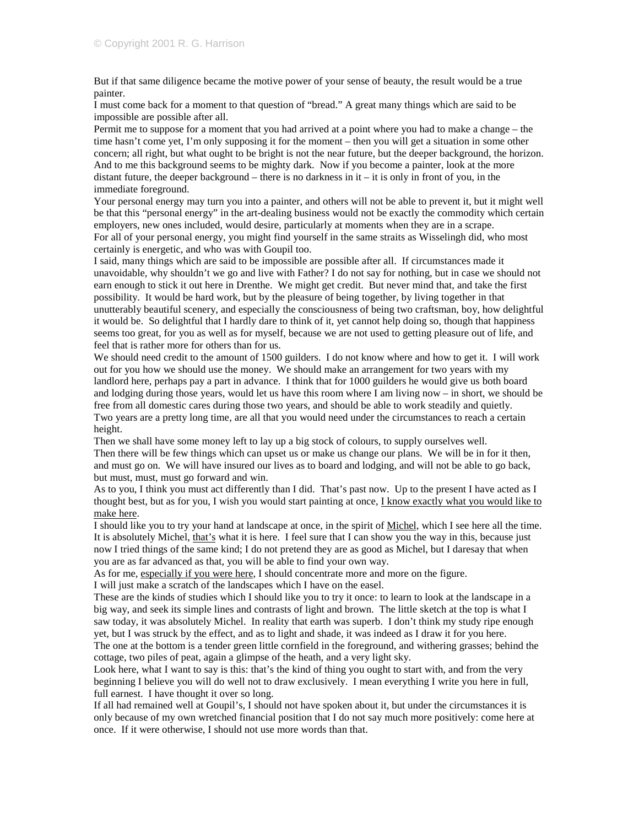But if that same diligence became the motive power of your sense of beauty, the result would be a true painter.

I must come back for a moment to that question of "bread." A great many things which are said to be impossible are possible after all.

Permit me to suppose for a moment that you had arrived at a point where you had to make a change – the time hasn't come yet, I'm only supposing it for the moment – then you will get a situation in some other concern; all right, but what ought to be bright is not the near future, but the deeper background, the horizon. And to me this background seems to be mighty dark. Now if you become a painter, look at the more distant future, the deeper background – there is no darkness in it – it is only in front of you, in the immediate foreground.

Your personal energy may turn you into a painter, and others will not be able to prevent it, but it might well be that this "personal energy" in the art-dealing business would not be exactly the commodity which certain employers, new ones included, would desire, particularly at moments when they are in a scrape. For all of your personal energy, you might find yourself in the same straits as Wisselingh did, who most certainly is energetic, and who was with Goupil too.

I said, many things which are said to be impossible are possible after all. If circumstances made it unavoidable, why shouldn't we go and live with Father? I do not say for nothing, but in case we should not earn enough to stick it out here in Drenthe. We might get credit. But never mind that, and take the first possibility. It would be hard work, but by the pleasure of being together, by living together in that unutterably beautiful scenery, and especially the consciousness of being two craftsman, boy, how delightful it would be. So delightful that I hardly dare to think of it, yet cannot help doing so, though that happiness seems too great, for you as well as for myself, because we are not used to getting pleasure out of life, and feel that is rather more for others than for us.

We should need credit to the amount of 1500 guilders. I do not know where and how to get it. I will work out for you how we should use the money. We should make an arrangement for two years with my landlord here, perhaps pay a part in advance. I think that for 1000 guilders he would give us both board and lodging during those years, would let us have this room where I am living now – in short, we should be free from all domestic cares during those two years, and should be able to work steadily and quietly. Two years are a pretty long time, are all that you would need under the circumstances to reach a certain height.

Then we shall have some money left to lay up a big stock of colours, to supply ourselves well. Then there will be few things which can upset us or make us change our plans. We will be in for it then, and must go on. We will have insured our lives as to board and lodging, and will not be able to go back, but must, must, must go forward and win.

As to you, I think you must act differently than I did. That's past now. Up to the present I have acted as I thought best, but as for you, I wish you would start painting at once, I know exactly what you would like to make here.

I should like you to try your hand at landscape at once, in the spirit of Michel, which I see here all the time. It is absolutely Michel, that's what it is here. I feel sure that I can show you the way in this, because just now I tried things of the same kind; I do not pretend they are as good as Michel, but I daresay that when you are as far advanced as that, you will be able to find your own way.

As for me, especially if you were here, I should concentrate more and more on the figure.

I will just make a scratch of the landscapes which I have on the easel.

These are the kinds of studies which I should like you to try it once: to learn to look at the landscape in a big way, and seek its simple lines and contrasts of light and brown. The little sketch at the top is what I saw today, it was absolutely Michel. In reality that earth was superb. I don't think my study ripe enough yet, but I was struck by the effect, and as to light and shade, it was indeed as I draw it for you here. The one at the bottom is a tender green little cornfield in the foreground, and withering grasses; behind the

cottage, two piles of peat, again a glimpse of the heath, and a very light sky.

Look here, what I want to say is this: that's the kind of thing you ought to start with, and from the very beginning I believe you will do well not to draw exclusively. I mean everything I write you here in full, full earnest. I have thought it over so long.

If all had remained well at Goupil's, I should not have spoken about it, but under the circumstances it is only because of my own wretched financial position that I do not say much more positively: come here at once. If it were otherwise, I should not use more words than that.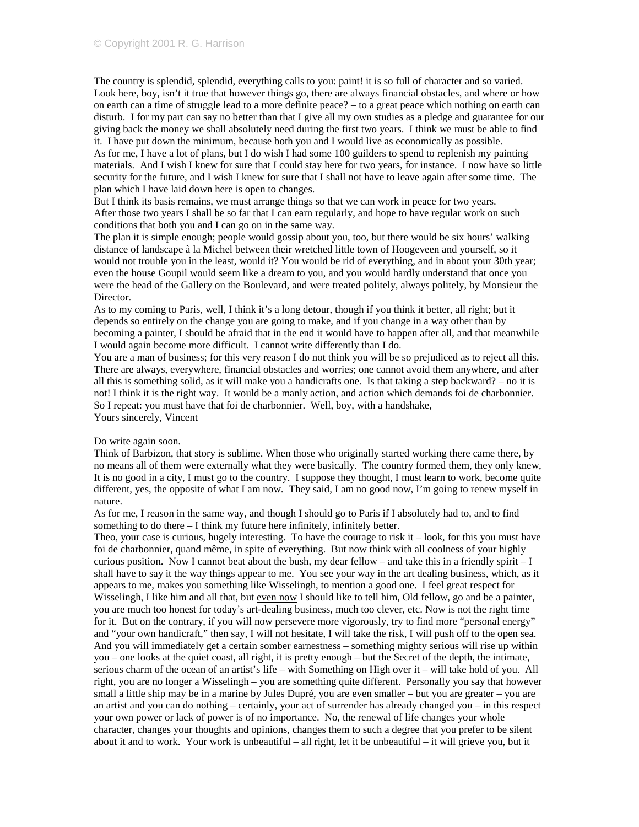The country is splendid, splendid, everything calls to you: paint! it is so full of character and so varied. Look here, boy, isn't it true that however things go, there are always financial obstacles, and where or how on earth can a time of struggle lead to a more definite peace? – to a great peace which nothing on earth can disturb. I for my part can say no better than that I give all my own studies as a pledge and guarantee for our giving back the money we shall absolutely need during the first two years. I think we must be able to find it. I have put down the minimum, because both you and I would live as economically as possible.

As for me, I have a lot of plans, but I do wish I had some 100 guilders to spend to replenish my painting materials. And I wish I knew for sure that I could stay here for two years, for instance. I now have so little security for the future, and I wish I knew for sure that I shall not have to leave again after some time. The plan which I have laid down here is open to changes.

But I think its basis remains, we must arrange things so that we can work in peace for two years. After those two years I shall be so far that I can earn regularly, and hope to have regular work on such conditions that both you and I can go on in the same way.

The plan it is simple enough; people would gossip about you, too, but there would be six hours' walking distance of landscape à la Michel between their wretched little town of Hoogeveen and yourself, so it would not trouble you in the least, would it? You would be rid of everything, and in about your 30th year; even the house Goupil would seem like a dream to you, and you would hardly understand that once you were the head of the Gallery on the Boulevard, and were treated politely, always politely, by Monsieur the Director.

As to my coming to Paris, well, I think it's a long detour, though if you think it better, all right; but it depends so entirely on the change you are going to make, and if you change in a way other than by becoming a painter, I should be afraid that in the end it would have to happen after all, and that meanwhile I would again become more difficult. I cannot write differently than I do.

You are a man of business; for this very reason I do not think you will be so prejudiced as to reject all this. There are always, everywhere, financial obstacles and worries; one cannot avoid them anywhere, and after all this is something solid, as it will make you a handicrafts one. Is that taking a step backward? – no it is not! I think it is the right way. It would be a manly action, and action which demands foi de charbonnier. So I repeat: you must have that foi de charbonnier. Well, boy, with a handshake, Yours sincerely, Vincent

## Do write again soon.

Think of Barbizon, that story is sublime. When those who originally started working there came there, by no means all of them were externally what they were basically. The country formed them, they only knew, It is no good in a city, I must go to the country. I suppose they thought, I must learn to work, become quite different, yes, the opposite of what I am now. They said, I am no good now, I'm going to renew myself in nature.

As for me, I reason in the same way, and though I should go to Paris if I absolutely had to, and to find something to do there – I think my future here infinitely, infinitely better.

Theo, your case is curious, hugely interesting. To have the courage to risk it – look, for this you must have foi de charbonnier, quand même, in spite of everything. But now think with all coolness of your highly curious position. Now I cannot beat about the bush, my dear fellow – and take this in a friendly spirit  $-1$ shall have to say it the way things appear to me. You see your way in the art dealing business, which, as it appears to me, makes you something like Wisselingh, to mention a good one. I feel great respect for Wisselingh, I like him and all that, but even now I should like to tell him, Old fellow, go and be a painter, you are much too honest for today's art-dealing business, much too clever, etc. Now is not the right time for it. But on the contrary, if you will now persevere more vigorously, try to find more "personal energy" and "your own handicraft," then say, I will not hesitate, I will take the risk, I will push off to the open sea. And you will immediately get a certain somber earnestness – something mighty serious will rise up within you – one looks at the quiet coast, all right, it is pretty enough – but the Secret of the depth, the intimate, serious charm of the ocean of an artist's life – with Something on High over it – will take hold of you. All right, you are no longer a Wisselingh – you are something quite different. Personally you say that however small a little ship may be in a marine by Jules Dupré, you are even smaller – but you are greater – you are an artist and you can do nothing – certainly, your act of surrender has already changed you – in this respect your own power or lack of power is of no importance. No, the renewal of life changes your whole character, changes your thoughts and opinions, changes them to such a degree that you prefer to be silent about it and to work. Your work is unbeautiful – all right, let it be unbeautiful – it will grieve you, but it